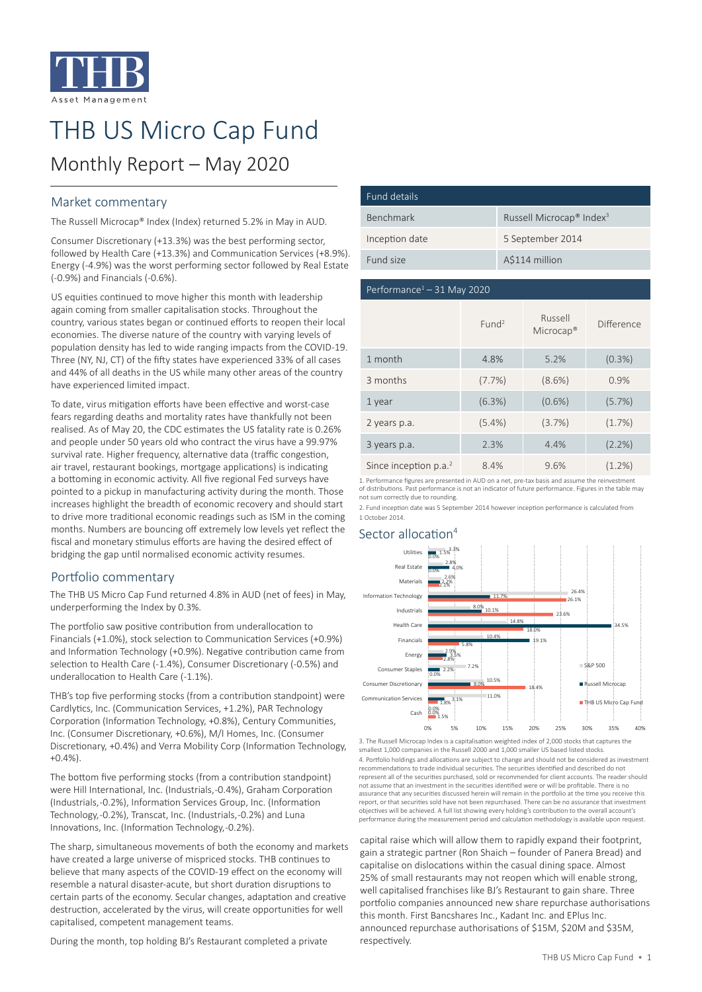

# THB US Micro Cap Fund

## Monthly Report – May 2020

### Market commentary

The Russell Microcap® Index (Index) returned 5.2% in May in AUD.

Consumer Discretionary (+13.3%) was the best performing sector, followed by Health Care (+13.3%) and Communication Services (+8.9%). Energy (-4.9%) was the worst performing sector followed by Real Estate (-0.9%) and Financials (-0.6%).

US equities continued to move higher this month with leadership again coming from smaller capitalisation stocks. Throughout the country, various states began or continued efforts to reopen their local economies. The diverse nature of the country with varying levels of population density has led to wide ranging impacts from the COVID-19. Three (NY, NJ, CT) of the fifty states have experienced 33% of all cases and 44% of all deaths in the US while many other areas of the country have experienced limited impact.

To date, virus mitigation efforts have been effective and worst-case fears regarding deaths and mortality rates have thankfully not been realised. As of May 20, the CDC estimates the US fatality rate is 0.26% and people under 50 years old who contract the virus have a 99.97% survival rate. Higher frequency, alternative data (traffic congestion, air travel, restaurant bookings, mortgage applications) is indicating a bottoming in economic activity. All five regional Fed surveys have pointed to a pickup in manufacturing activity during the month. Those increases highlight the breadth of economic recovery and should start to drive more traditional economic readings such as ISM in the coming months. Numbers are bouncing off extremely low levels yet reflect the fiscal and monetary stimulus efforts are having the desired effect of bridging the gap until normalised economic activity resumes.

#### Portfolio commentary

The THB US Micro Cap Fund returned 4.8% in AUD (net of fees) in May, underperforming the Index by 0.3%.

The portfolio saw positive contribution from underallocation to Financials (+1.0%), stock selection to Communication Services (+0.9%) and Information Technology (+0.9%). Negative contribution came from selection to Health Care (-1.4%), Consumer Discretionary (-0.5%) and underallocation to Health Care (-1.1%).

THB's top five performing stocks (from a contribution standpoint) were Cardlytics, Inc. (Communication Services, +1.2%), PAR Technology Corporation (Information Technology, +0.8%), Century Communities, Inc. (Consumer Discretionary, +0.6%), M/I Homes, Inc. (Consumer Discretionary, +0.4%) and Verra Mobility Corp (Information Technology,  $+0.4%$ 

The bottom five performing stocks (from a contribution standpoint) were Hill International, Inc. (Industrials, -0.4%), Graham Corporation (Industrials, -0.2%), Information Services Group, Inc. (Information Technology, -0.2%), Transcat, Inc. (Industrials, -0.2%) and Luna Innovations, Inc. (Information Technology, -0.2%).

The sharp, simultaneous movements of both the economy and markets have created a large universe of mispriced stocks. THB continues to believe that many aspects of the COVID-19 effect on the economy will resemble a natural disaster-acute, but short duration disruptions to certain parts of the economy. Secular changes, adaptation and creative destruction, accelerated by the virus, will create opportunities for well capitalised, competent management teams.

During the month, top holding BJ's Restaurant completed a private

| Fund details   |                                                  |
|----------------|--------------------------------------------------|
| Benchmark      | Russell Microcap <sup>®</sup> Index <sup>3</sup> |
| Inception date | 5 September 2014                                 |
| Fund size      | A\$114 million                                   |

#### Performance $1 - 31$  May 2020

|                         | Fund <sup>2</sup> | Russell<br>$Microcap^*$ | Difference |
|-------------------------|-------------------|-------------------------|------------|
| 1 month                 | 4.8%              | 5.2%                    | $(0.3\%)$  |
| 3 months                | $(7.7\%)$         | $(8.6\%)$               | 0.9%       |
| 1 year                  | (6.3%)            | $(0.6\%)$               | (5.7%)     |
| 2 years p.a.            | $(5.4\%)$         | (3.7%)                  | (1.7%)     |
| 3 years p.a.            | 2.3%              | 4.4%                    | $(2.2\%)$  |
| Since inception $p.a.2$ | 8.4%              | 9.6%                    | $(1.2\%)$  |

1. Performance figures are presented in AUD on a net, pre-tax basis and assume the reinvestmer of distributions. Past performance is not an indicator of future performance. Figures in the table may not sum correctly due to rounding.

2. Fund inception date was 5 September 2014 however inception performance is calculated from 1 October 2014.

#### Sector allocation<sup>4</sup>



3. The Russell Microcap Index is a capitalisation weighted index of 2,000 stocks that captures the smallest 1,000 companies in the Russell 2000 and 1,000 smaller US based listed stocks. 4. Portfolio holdings and allocations are subject to change and should not be considered as in recommendations to trade individual securities. The securities identified and described do not represent all of the securities purchased, sold or recommended for client accounts. The reader should not assume that an investment in the securities identified were or will be profitable. There is no assurance that any securities discussed herein will remain in the portfolio at the time you receive this report, or that securities sold have not been repurchased. There can be no assurance that investment objectives will be achieved. A full list showing every holding's contribution to the overall account's performance during the measurement period and calculation methodology is available upon request.

capital raise which will allow them to rapidly expand their footprint, gain a strategic partner (Ron Shaich – founder of Panera Bread) and capitalise on dislocations within the casual dining space. Almost 25% of small restaurants may not reopen which will enable strong, well capitalised franchises like BJ's Restaurant to gain share. Three portfolio companies announced new share repurchase authorisations this month. First Bancshares Inc., Kadant Inc. and EPlus Inc. announced repurchase authorisations of \$15M, \$20M and \$35M, respectively.